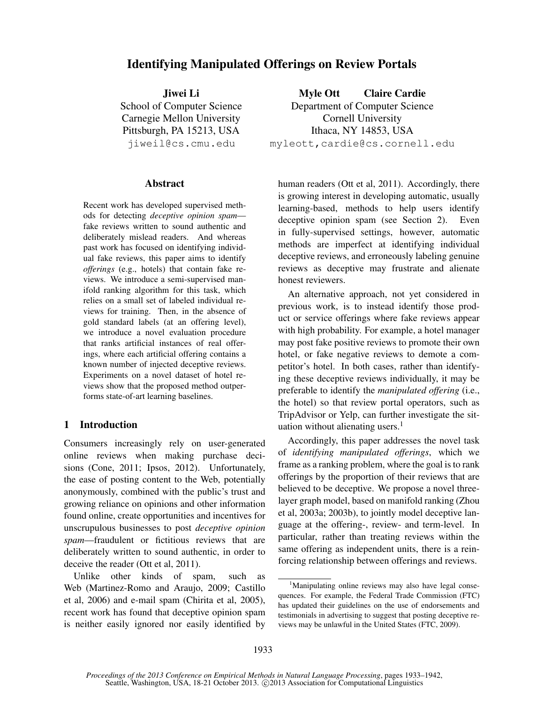# Identifying Manipulated Offerings on Review Portals

Jiwei Li School of Computer Science Carnegie Mellon University Pittsburgh, PA 15213, USA jiweil@cs.cmu.edu

### Abstract

Recent work has developed supervised methods for detecting *deceptive opinion spam* fake reviews written to sound authentic and deliberately mislead readers. And whereas past work has focused on identifying individual fake reviews, this paper aims to identify *offerings* (e.g., hotels) that contain fake reviews. We introduce a semi-supervised manifold ranking algorithm for this task, which relies on a small set of labeled individual reviews for training. Then, in the absence of gold standard labels (at an offering level), we introduce a novel evaluation procedure that ranks artificial instances of real offerings, where each artificial offering contains a known number of injected deceptive reviews. Experiments on a novel dataset of hotel reviews show that the proposed method outperforms state-of-art learning baselines.

## 1 Introduction

Consumers increasingly rely on user-generated online reviews when making purchase decisions (Cone, 2011; Ipsos, 2012). Unfortunately, the ease of posting content to the Web, potentially anonymously, combined with the public's trust and growing reliance on opinions and other information found online, create opportunities and incentives for unscrupulous businesses to post *deceptive opinion spam*—fraudulent or fictitious reviews that are deliberately written to sound authentic, in order to deceive the reader (Ott et al, 2011).

Unlike other kinds of spam, such as Web (Martinez-Romo and Araujo, 2009; Castillo et al, 2006) and e-mail spam (Chirita et al, 2005), recent work has found that deceptive opinion spam is neither easily ignored nor easily identified by

Myle Ott Claire Cardie Department of Computer Science Cornell University Ithaca, NY 14853, USA myleott,cardie@cs.cornell.edu

human readers (Ott et al, 2011). Accordingly, there is growing interest in developing automatic, usually learning-based, methods to help users identify deceptive opinion spam (see Section 2). Even in fully-supervised settings, however, automatic methods are imperfect at identifying individual deceptive reviews, and erroneously labeling genuine reviews as deceptive may frustrate and alienate honest reviewers.

An alternative approach, not yet considered in previous work, is to instead identify those product or service offerings where fake reviews appear with high probability. For example, a hotel manager may post fake positive reviews to promote their own hotel, or fake negative reviews to demote a competitor's hotel. In both cases, rather than identifying these deceptive reviews individually, it may be preferable to identify the *manipulated offering* (i.e., the hotel) so that review portal operators, such as TripAdvisor or Yelp, can further investigate the situation without alienating users. $<sup>1</sup>$ </sup>

Accordingly, this paper addresses the novel task of *identifying manipulated offerings*, which we frame as a ranking problem, where the goal is to rank offerings by the proportion of their reviews that are believed to be deceptive. We propose a novel threelayer graph model, based on manifold ranking (Zhou et al, 2003a; 2003b), to jointly model deceptive language at the offering-, review- and term-level. In particular, rather than treating reviews within the same offering as independent units, there is a reinforcing relationship between offerings and reviews.

<sup>&</sup>lt;sup>1</sup>Manipulating online reviews may also have legal consequences. For example, the Federal Trade Commission (FTC) has updated their guidelines on the use of endorsements and testimonials in advertising to suggest that posting deceptive reviews may be unlawful in the United States (FTC, 2009).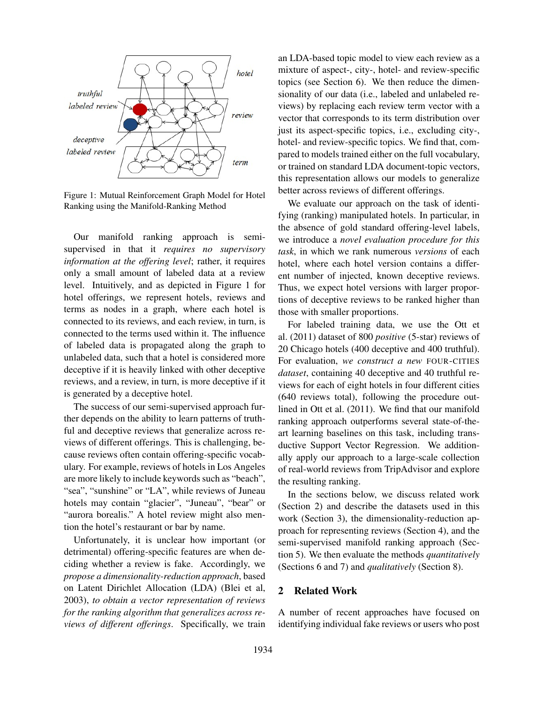

Figure 1: Mutual Reinforcement Graph Model for Hotel Ranking using the Manifold-Ranking Method

Our manifold ranking approach is semisupervised in that it *requires no supervisory information at the offering level*; rather, it requires only a small amount of labeled data at a review level. Intuitively, and as depicted in Figure 1 for hotel offerings, we represent hotels, reviews and terms as nodes in a graph, where each hotel is connected to its reviews, and each review, in turn, is connected to the terms used within it. The influence of labeled data is propagated along the graph to unlabeled data, such that a hotel is considered more deceptive if it is heavily linked with other deceptive reviews, and a review, in turn, is more deceptive if it is generated by a deceptive hotel.

The success of our semi-supervised approach further depends on the ability to learn patterns of truthful and deceptive reviews that generalize across reviews of different offerings. This is challenging, because reviews often contain offering-specific vocabulary. For example, reviews of hotels in Los Angeles are more likely to include keywords such as "beach", "sea", "sunshine" or "LA", while reviews of Juneau hotels may contain "glacier", "Juneau", "bear" or "aurora borealis." A hotel review might also mention the hotel's restaurant or bar by name.

Unfortunately, it is unclear how important (or detrimental) offering-specific features are when deciding whether a review is fake. Accordingly, we *propose a dimensionality-reduction approach*, based on Latent Dirichlet Allocation (LDA) (Blei et al, 2003), *to obtain a vector representation of reviews for the ranking algorithm that generalizes across reviews of different offerings*. Specifically, we train an LDA-based topic model to view each review as a mixture of aspect-, city-, hotel- and review-specific topics (see Section 6). We then reduce the dimensionality of our data (i.e., labeled and unlabeled reviews) by replacing each review term vector with a vector that corresponds to its term distribution over just its aspect-specific topics, i.e., excluding city-, hotel- and review-specific topics. We find that, compared to models trained either on the full vocabulary, or trained on standard LDA document-topic vectors, this representation allows our models to generalize better across reviews of different offerings.

We evaluate our approach on the task of identifying (ranking) manipulated hotels. In particular, in the absence of gold standard offering-level labels, we introduce a *novel evaluation procedure for this task*, in which we rank numerous *versions* of each hotel, where each hotel version contains a different number of injected, known deceptive reviews. Thus, we expect hotel versions with larger proportions of deceptive reviews to be ranked higher than those with smaller proportions.

For labeled training data, we use the Ott et al. (2011) dataset of 800 *positive* (5-star) reviews of 20 Chicago hotels (400 deceptive and 400 truthful). For evaluation, *we construct a new* FOUR-CITIES *dataset*, containing 40 deceptive and 40 truthful reviews for each of eight hotels in four different cities (640 reviews total), following the procedure outlined in Ott et al. (2011). We find that our manifold ranking approach outperforms several state-of-theart learning baselines on this task, including transductive Support Vector Regression. We additionally apply our approach to a large-scale collection of real-world reviews from TripAdvisor and explore the resulting ranking.

In the sections below, we discuss related work (Section 2) and describe the datasets used in this work (Section 3), the dimensionality-reduction approach for representing reviews (Section 4), and the semi-supervised manifold ranking approach (Section 5). We then evaluate the methods *quantitatively* (Sections 6 and 7) and *qualitatively* (Section 8).

# 2 Related Work

A number of recent approaches have focused on identifying individual fake reviews or users who post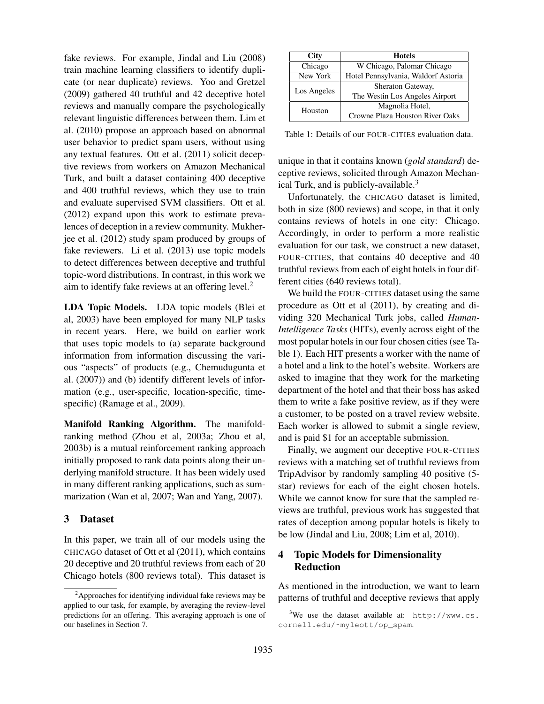fake reviews. For example, Jindal and Liu (2008) train machine learning classifiers to identify duplicate (or near duplicate) reviews. Yoo and Gretzel (2009) gathered 40 truthful and 42 deceptive hotel reviews and manually compare the psychologically relevant linguistic differences between them. Lim et al. (2010) propose an approach based on abnormal user behavior to predict spam users, without using any textual features. Ott et al. (2011) solicit deceptive reviews from workers on Amazon Mechanical Turk, and built a dataset containing 400 deceptive and 400 truthful reviews, which they use to train and evaluate supervised SVM classifiers. Ott et al. (2012) expand upon this work to estimate prevalences of deception in a review community. Mukherjee et al. (2012) study spam produced by groups of fake reviewers. Li et al. (2013) use topic models to detect differences between deceptive and truthful topic-word distributions. In contrast, in this work we aim to identify fake reviews at an offering level. $<sup>2</sup>$ </sup>

LDA Topic Models. LDA topic models (Blei et al, 2003) have been employed for many NLP tasks in recent years. Here, we build on earlier work that uses topic models to (a) separate background information from information discussing the various "aspects" of products (e.g., Chemudugunta et al. (2007)) and (b) identify different levels of information (e.g., user-specific, location-specific, timespecific) (Ramage et al., 2009).

Manifold Ranking Algorithm. The manifoldranking method (Zhou et al, 2003a; Zhou et al, 2003b) is a mutual reinforcement ranking approach initially proposed to rank data points along their underlying manifold structure. It has been widely used in many different ranking applications, such as summarization (Wan et al, 2007; Wan and Yang, 2007).

## 3 Dataset

In this paper, we train all of our models using the CHICAGO dataset of Ott et al (2011), which contains 20 deceptive and 20 truthful reviews from each of 20 Chicago hotels (800 reviews total). This dataset is

| <b>City</b> | <b>Hotels</b>                       |  |  |
|-------------|-------------------------------------|--|--|
| Chicago     | W Chicago, Palomar Chicago          |  |  |
| New York    | Hotel Pennsylvania, Waldorf Astoria |  |  |
| Los Angeles | Sheraton Gateway,                   |  |  |
|             | The Westin Los Angeles Airport      |  |  |
| Houston     | Magnolia Hotel,                     |  |  |
|             | Crowne Plaza Houston River Oaks     |  |  |

Table 1: Details of our FOUR-CITIES evaluation data.

unique in that it contains known (*gold standard*) deceptive reviews, solicited through Amazon Mechanical Turk, and is publicly-available.<sup>3</sup>

Unfortunately, the CHICAGO dataset is limited, both in size (800 reviews) and scope, in that it only contains reviews of hotels in one city: Chicago. Accordingly, in order to perform a more realistic evaluation for our task, we construct a new dataset, FOUR-CITIES, that contains 40 deceptive and 40 truthful reviews from each of eight hotels in four different cities (640 reviews total).

We build the FOUR-CITIES dataset using the same procedure as Ott et al (2011), by creating and dividing 320 Mechanical Turk jobs, called *Human-Intelligence Tasks* (HITs), evenly across eight of the most popular hotels in our four chosen cities (see Table 1). Each HIT presents a worker with the name of a hotel and a link to the hotel's website. Workers are asked to imagine that they work for the marketing department of the hotel and that their boss has asked them to write a fake positive review, as if they were a customer, to be posted on a travel review website. Each worker is allowed to submit a single review, and is paid \$1 for an acceptable submission.

Finally, we augment our deceptive FOUR-CITIES reviews with a matching set of truthful reviews from TripAdvisor by randomly sampling 40 positive (5 star) reviews for each of the eight chosen hotels. While we cannot know for sure that the sampled reviews are truthful, previous work has suggested that rates of deception among popular hotels is likely to be low (Jindal and Liu, 2008; Lim et al, 2010).

# 4 Topic Models for Dimensionality Reduction

As mentioned in the introduction, we want to learn patterns of truthful and deceptive reviews that apply

 $2A$ pproaches for identifying individual fake reviews may be applied to our task, for example, by averaging the review-level predictions for an offering. This averaging approach is one of our baselines in Section 7.

 $3$ We use the dataset available at: http://www.cs. cornell.edu/˜myleott/op\_spam.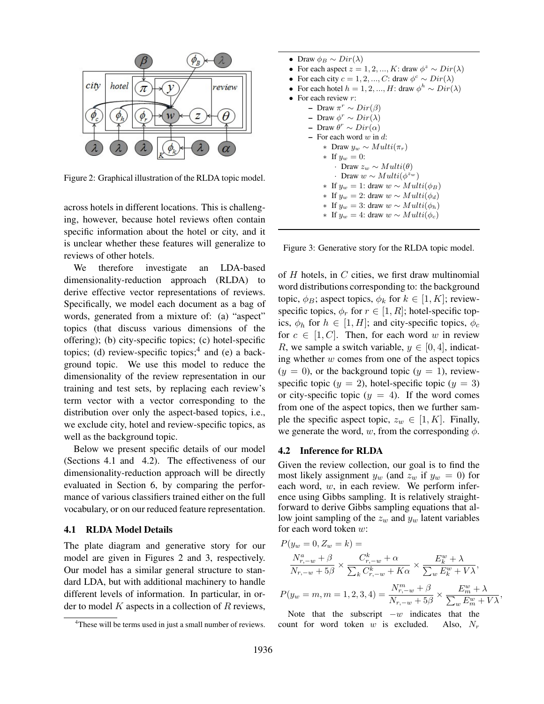

Figure 2: Graphical illustration of the RLDA topic model.

across hotels in different locations. This is challenging, however, because hotel reviews often contain specific information about the hotel or city, and it is unclear whether these features will generalize to reviews of other hotels.

We therefore investigate an LDA-based dimensionality-reduction approach (RLDA) to derive effective vector representations of reviews. Specifically, we model each document as a bag of words, generated from a mixture of: (a) "aspect" topics (that discuss various dimensions of the offering); (b) city-specific topics; (c) hotel-specific topics; (d) review-specific topics;<sup>4</sup> and (e) a background topic. We use this model to reduce the dimensionality of the review representation in our training and test sets, by replacing each review's term vector with a vector corresponding to the distribution over only the aspect-based topics, i.e., we exclude city, hotel and review-specific topics, as well as the background topic.

Below we present specific details of our model (Sections 4.1 and 4.2). The effectiveness of our dimensionality-reduction approach will be directly evaluated in Section 6, by comparing the performance of various classifiers trained either on the full vocabulary, or on our reduced feature representation.

#### 4.1 RLDA Model Details

The plate diagram and generative story for our model are given in Figures 2 and 3, respectively. Our model has a similar general structure to standard LDA, but with additional machinery to handle different levels of information. In particular, in order to model  $K$  aspects in a collection of  $R$  reviews,

```
• Draw \phi_B \sim Dir(\lambda)• For each aspect z = 1, 2, ..., K: draw \phi^z \sim Dir(\lambda)• For each city c = 1, 2, ..., C: draw \phi^c \sim Dir(\lambda)• For each hotel h = 1, 2, ..., H: draw \phi^h \sim Dir(\lambda)For each review r:
       - Draw \pi^r \sim Dir(\beta)- Draw \phi^r \sim Dir(\lambda) − Draw θ^r ~ Dir(\alpha)
      – For each word w in d:
           ∗ Draw yw ∼ Multi(πr)
           ∗ If yw = 0:
               • Draw z_w ∼ Multi(θ)
                • Draw w ∼ Multi(\phi^{z_w})∗ If y_w = 1: draw w \sim Multi(\phi_B)∗ If y_w = 2: draw w \sim Multi(\phi_d)∗ If y_w = 3: draw w \sim Multi(\phi_h)∗ If y_w = 4: draw w \sim Multi(\phi_c)
```
Figure 3: Generative story for the RLDA topic model.

of  $H$  hotels, in  $C$  cities, we first draw multinomial word distributions corresponding to: the background topic,  $\phi_B$ ; aspect topics,  $\phi_k$  for  $k \in [1, K]$ ; reviewspecific topics,  $\phi_r$  for  $r \in [1, R]$ ; hotel-specific topics,  $\phi_h$  for  $h \in [1, H]$ ; and city-specific topics,  $\phi_c$ for  $c \in [1, C]$ . Then, for each word w in review R, we sample a switch variable,  $y \in [0, 4]$ , indicating whether  $w$  comes from one of the aspect topics  $(y = 0)$ , or the background topic  $(y = 1)$ , reviewspecific topic ( $y = 2$ ), hotel-specific topic ( $y = 3$ ) or city-specific topic  $(y = 4)$ . If the word comes from one of the aspect topics, then we further sample the specific aspect topic,  $z_w \in [1, K]$ . Finally, we generate the word, w, from the corresponding  $\phi$ .

#### 4.2 Inference for RLDA

Given the review collection, our goal is to find the most likely assignment  $y_w$  (and  $z_w$  if  $y_w = 0$ ) for each word,  $w$ , in each review. We perform inference using Gibbs sampling. It is relatively straightforward to derive Gibbs sampling equations that allow joint sampling of the  $z_w$  and  $y_w$  latent variables for each word token w:

$$
P(y_w = 0, Z_w = k) =
$$
  

$$
\frac{N_{r,-w}^a + \beta}{N_{r,-w} + 5\beta} \times \frac{C_{r,-w}^k + \alpha}{\sum_k C_{r,-w}^k + K\alpha} \times \frac{E_k^w + \lambda}{\sum_w E_k^w + V\lambda},
$$
  

$$
P(y_w = m, m = 1, 2, 3, 4) = \frac{N_{r,-w}^m + \beta}{N_{r,-w}^m + \beta} \times \frac{E_k^w + \lambda}{E_k^w + \lambda}
$$

 $P(y_w = m, m = 1, 2, 3, 4) =$  $\frac{N_{r,-w}^m + \beta}{N_{r,-w} + 5\beta} \times \frac{E_m^w + \lambda}{\sum_w E_m^w + \lambda}$  $\frac{E_m - N}{\sum_w E_m^w + V\lambda},$ 

Note that the subscript  $-w$  indicates that the count for word token  $w$  is excluded. Also,  $N_r$ 

<sup>&</sup>lt;sup>4</sup>These will be terms used in just a small number of reviews.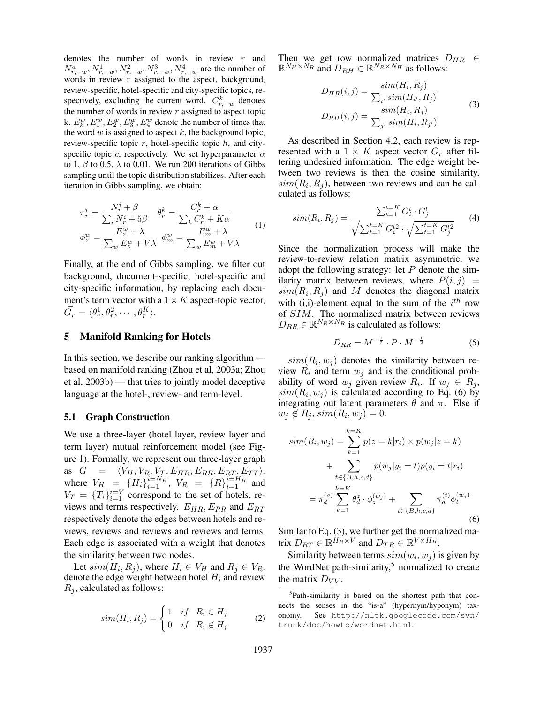denotes the number of words in review  $r$  and  $N_{r,-w}^a, N_{r,-w}^1, N_{r,-w}^2, N_{r,-w}^3, N_{r,-w}^4$  are the number of words in review  $r$  assigned to the aspect, background, review-specific, hotel-specific and city-specific topics, respectively, excluding the current word.  $C_{r,-w}^k$  denotes the number of words in review  $r$  assigned to aspect topic k.  $E_k^w, E_1^w, E_2^w, E_3^w, E_4^w$  denote the number of times that the word  $w$  is assigned to aspect  $k$ , the background topic, review-specific topic  $r$ , hotel-specific topic  $h$ , and cityspecific topic c, respectively. We set hyperparameter  $\alpha$ to 1,  $\beta$  to 0.5,  $\lambda$  to 0.01. We run 200 iterations of Gibbs sampling until the topic distribution stabilizes. After each iteration in Gibbs sampling, we obtain:

$$
\pi_r^i = \frac{N_r^i + \beta}{\sum_i N_r^i + 5\beta} \quad \theta_r^k = \frac{C_r^k + \alpha}{\sum_k C_r^k + K\alpha}
$$
\n
$$
\phi_z^w = \frac{E_z^w + \lambda}{\sum_w E_z^w + V\lambda} \quad \phi_m^w = \frac{E_w^w + \lambda}{\sum_w E_m^w + V\lambda} \tag{1}
$$

Finally, at the end of Gibbs sampling, we filter out background, document-specific, hotel-specific and city-specific information, by replacing each document's term vector with a  $1 \times K$  aspect-topic vector,  $\vec{G_r} = \langle \theta_r^1, \theta_r^2, \cdots, \theta_r^K \rangle.$ 

# 5 Manifold Ranking for Hotels

In this section, we describe our ranking algorithm based on manifold ranking (Zhou et al, 2003a; Zhou et al, 2003b) — that tries to jointly model deceptive language at the hotel-, review- and term-level.

## 5.1 Graph Construction

We use a three-layer (hotel layer, review layer and term layer) mutual reinforcement model (see Figure 1). Formally, we represent our three-layer graph as  $G = \langle V_H, V_R, V_T, E_{HR}, E_{RR}, E_{RT}, E_{TT} \rangle$ , where  $V_H = \{H_i\}_{i=1}^{i=N_H}$ ,  $V_R = \{R\}_{i=1}^{i=H_R}$  and  $V_T = \{T_i\}_{i=1}^{i=V}$  correspond to the set of hotels, reviews and terms respectively.  $E_{HR}, E_{RR}$  and  $E_{RT}$ respectively denote the edges between hotels and reviews, reviews and reviews and reviews and terms. Each edge is associated with a weight that denotes the similarity between two nodes.

Let  $sim(H_i, R_j)$ , where  $H_i \in V_H$  and  $R_j \in V_R$ , denote the edge weight between hotel  $H_i$  and review  $R_j$ , calculated as follows:

$$
sim(H_i, R_j) = \begin{cases} 1 & if \quad R_i \in H_j \\ 0 & if \quad R_i \notin H_j \end{cases}
$$
 (2)

Then we get row normalized matrices  $D_{HR} \in$  $\mathbb{R}^{N_H \times N_R}$  and  $D_{RH} \in \mathbb{R}^{N_R \times N_H}$  as follows:

$$
D_{HR}(i,j) = \frac{sim(H_i, R_j)}{\sum_{i'} sim(H_{i'}, R_j)}
$$
  
\n
$$
D_{RH}(i,j) = \frac{sim(H_i, R_j)}{\sum_{j'} sim(H_i, R_{j'})}
$$
\n(3)

As described in Section 4.2, each review is represented with a  $1 \times K$  aspect vector  $G_r$  after filtering undesired information. The edge weight between two reviews is then the cosine similarity,  $sim(R_i, R_j)$ , between two reviews and can be calculated as follows:

$$
sim(R_i, R_j) = \frac{\sum_{t=1}^{t=K} G_i^t \cdot G_j^t}{\sqrt{\sum_{t=1}^{t=K} G_i^{t2}} \cdot \sqrt{\sum_{t=1}^{t=K} G_j^{t2}}} \qquad (4)
$$

Since the normalization process will make the review-to-review relation matrix asymmetric, we adopt the following strategy: let  $P$  denote the similarity matrix between reviews, where  $P(i, j)$  =  $sim(R_i, R_j)$  and M denotes the diagonal matrix with (i,i)-element equal to the sum of the  $i^{th}$  row of SIM. The normalized matrix between reviews  $D_{RR} \in \mathbb{R}^{N_R \times N_R}$  is calculated as follows:

$$
D_{RR} = M^{-\frac{1}{2}} \cdot P \cdot M^{-\frac{1}{2}} \tag{5}
$$

 $sim(R_i, w_j)$  denotes the similarity between review  $R_i$  and term  $w_j$  and is the conditional probability of word  $w_j$  given review  $R_i$ . If  $w_j \in R_j$ ,  $sim(R_i, w_j)$  is calculated according to Eq. (6) by integrating out latent parameters  $\theta$  and  $\pi$ . Else if  $w_j \notin R_j$ ,  $sim(R_i, w_j) = 0$ .

$$
sim(R_i, w_j) = \sum_{k=1}^{k=K} p(z = k|r_i) \times p(w_j|z = k)
$$
  
+ 
$$
\sum_{t \in \{B, h, c, d\}} p(w_j|y_i = t)p(y_i = t|r_i)
$$
  
= 
$$
\pi_d^{(a)} \sum_{k=1}^{k=K} \theta_d^z \cdot \phi_z^{(w_j)} + \sum_{t \in \{B, h, c, d\}} \pi_d^{(t)} \phi_t^{(w_j)}
$$
(6)

Similar to Eq. (3), we further get the normalized matrix  $D_{RT} \in \mathbb{R}^{H_R \times V}$  and  $D_{TR} \in \mathbb{R}^{V \times H_R}$ .

Similarity between terms  $sim(w_i, w_j)$  is given by the WordNet path-similarity, $5$  normalized to create the matrix  $D_{VV}$ .

<sup>&</sup>lt;sup>5</sup>Path-similarity is based on the shortest path that connects the senses in the "is-a" (hypernym/hyponym) taxonomy. See http://nltk.googlecode.com/svn/ trunk/doc/howto/wordnet.html.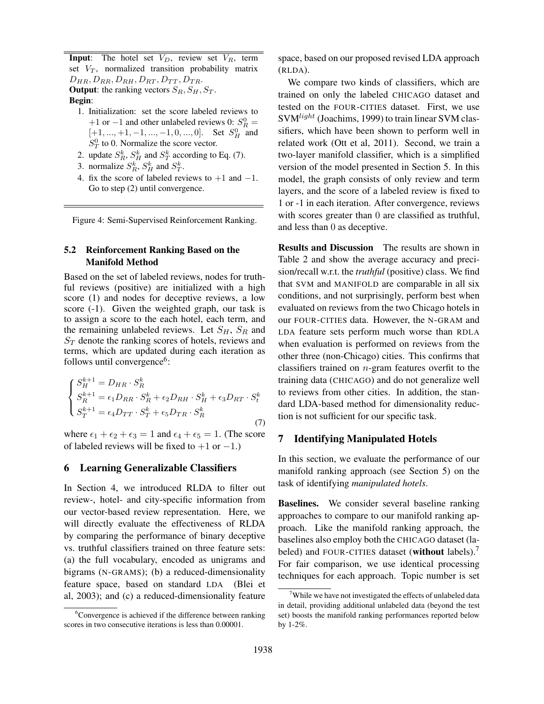**Input**: The hotel set  $V_D$ , review set  $V_R$ , term set  $V_T$ , normalized transition probability matrix  $D_{HR}, D_{RR}, D_{RH}, D_{RT}, D_{TT}, D_{TR}.$ **Output:** the ranking vectors  $S_R$ ,  $S_H$ ,  $S_T$ . Begin:

- 1. Initialization: set the score labeled reviews to +1 or -1 and other unlabeled reviews 0:  $S_R^0$  =  $[+1, ..., +1, -1, ..., -1, 0, ..., 0]$ . Set  $S_H^0$  and  $S_T^0$  to 0. Normalize the score vector.
- 2. update  $S_R^k$ ,  $S_H^k$  and  $S_T^k$  according to Eq. (7).
- 3. normalize  $S_R^k$ ,  $S_H^k$  and  $S_T^k$ .
- 4. fix the score of labeled reviews to  $+1$  and  $-1$ . Go to step (2) until convergence.

Figure 4: Semi-Supervised Reinforcement Ranking.

### 5.2 Reinforcement Ranking Based on the Manifold Method

Based on the set of labeled reviews, nodes for truthful reviews (positive) are initialized with a high score (1) and nodes for deceptive reviews, a low score (-1). Given the weighted graph, our task is to assign a score to the each hotel, each term, and the remaining unlabeled reviews. Let  $S_H$ ,  $S_R$  and  $S_T$  denote the ranking scores of hotels, reviews and terms, which are updated during each iteration as follows until convergence<sup>6</sup>:

$$
\begin{cases}\nS_H^{k+1} = D_{HR} \cdot S_R^k \\
S_R^{k+1} = \epsilon_1 D_{RR} \cdot S_R^k + \epsilon_2 D_{RH} \cdot S_H^k + \epsilon_3 D_{RT} \cdot S_t^k \\
S_T^{k+1} = \epsilon_4 D_{TT} \cdot S_T^k + \epsilon_5 D_{TR} \cdot S_R^k\n\end{cases} (7)
$$

where  $\epsilon_1 + \epsilon_2 + \epsilon_3 = 1$  and  $\epsilon_4 + \epsilon_5 = 1$ . (The score of labeled reviews will be fixed to  $+1$  or  $-1$ .)

#### 6 Learning Generalizable Classifiers

In Section 4, we introduced RLDA to filter out review-, hotel- and city-specific information from our vector-based review representation. Here, we will directly evaluate the effectiveness of RLDA by comparing the performance of binary deceptive vs. truthful classifiers trained on three feature sets: (a) the full vocabulary, encoded as unigrams and bigrams (N-GRAMS); (b) a reduced-dimensionality feature space, based on standard LDA (Blei et al, 2003); and (c) a reduced-dimensionality feature space, based on our proposed revised LDA approach (RLDA).

We compare two kinds of classifiers, which are trained on only the labeled CHICAGO dataset and tested on the FOUR-CITIES dataset. First, we use  $SVM<sup>light</sup>$  (Joachims, 1999) to train linear SVM classifiers, which have been shown to perform well in related work (Ott et al, 2011). Second, we train a two-layer manifold classifier, which is a simplified version of the model presented in Section 5. In this model, the graph consists of only review and term layers, and the score of a labeled review is fixed to 1 or -1 in each iteration. After convergence, reviews with scores greater than 0 are classified as truthful, and less than 0 as deceptive.

Results and Discussion The results are shown in Table 2 and show the average accuracy and precision/recall w.r.t. the *truthful* (positive) class. We find that SVM and MANIFOLD are comparable in all six conditions, and not surprisingly, perform best when evaluated on reviews from the two Chicago hotels in our FOUR-CITIES data. However, the N-GRAM and LDA feature sets perform much worse than RDLA when evaluation is performed on reviews from the other three (non-Chicago) cities. This confirms that classifiers trained on  $n$ -gram features overfit to the training data (CHICAGO) and do not generalize well to reviews from other cities. In addition, the standard LDA-based method for dimensionality reduction is not sufficient for our specific task.

#### 7 Identifying Manipulated Hotels

In this section, we evaluate the performance of our manifold ranking approach (see Section 5) on the task of identifying *manipulated hotels*.

Baselines. We consider several baseline ranking approaches to compare to our manifold ranking approach. Like the manifold ranking approach, the baselines also employ both the CHICAGO dataset (labeled) and FOUR-CITIES dataset (without labels).<sup>7</sup> For fair comparison, we use identical processing techniques for each approach. Topic number is set

 ${}^{6}$ Convergence is achieved if the difference between ranking scores in two consecutive iterations is less than 0.00001.

 $7$ While we have not investigated the effects of unlabeled data in detail, providing additional unlabeled data (beyond the test set) boosts the manifold ranking performances reported below by 1-2%.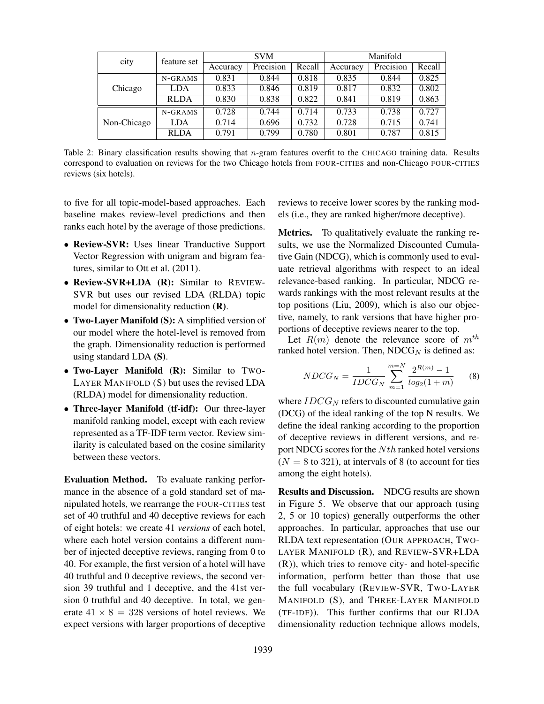| city        | feature set | <b>SVM</b> |           |        | Manifold |           |        |
|-------------|-------------|------------|-----------|--------|----------|-----------|--------|
|             |             | Accuracy   | Precision | Recall | Accuracy | Precision | Recall |
|             | N-GRAMS     | 0.831      | 0.844     | 0.818  | 0.835    | 0.844     | 0.825  |
| Chicago     | LDA         | 0.833      | 0.846     | 0.819  | 0.817    | 0.832     | 0.802  |
|             | <b>RLDA</b> | 0.830      | 0.838     | 0.822  | 0.841    | 0.819     | 0.863  |
|             | N-GRAMS     | 0.728      | 0.744     | 0.714  | 0.733    | 0.738     | 0.727  |
| Non-Chicago | LDA         | 0.714      | 0.696     | 0.732  | 0.728    | 0.715     | 0.741  |
|             | <b>RLDA</b> | 0.791      | 0.799     | 0.780  | 0.801    | 0.787     | 0.815  |

Table 2: Binary classification results showing that  $n$ -gram features overfit to the CHICAGO training data. Results correspond to evaluation on reviews for the two Chicago hotels from FOUR-CITIES and non-Chicago FOUR-CITIES reviews (six hotels).

to five for all topic-model-based approaches. Each baseline makes review-level predictions and then ranks each hotel by the average of those predictions.

- Review-SVR: Uses linear Tranductive Support Vector Regression with unigram and bigram features, similar to Ott et al. (2011).
- Review-SVR+LDA (R): Similar to REVIEW-SVR but uses our revised LDA (RLDA) topic model for dimensionality reduction (R).
- Two-Layer Manifold (S): A simplified version of our model where the hotel-level is removed from the graph. Dimensionality reduction is performed using standard LDA (S).
- Two-Layer Manifold (R): Similar to TWO-LAYER MANIFOLD (S) but uses the revised LDA (RLDA) model for dimensionality reduction.
- Three-layer Manifold (tf-idf): Our three-layer manifold ranking model, except with each review represented as a TF-IDF term vector. Review similarity is calculated based on the cosine similarity between these vectors.

Evaluation Method. To evaluate ranking performance in the absence of a gold standard set of manipulated hotels, we rearrange the FOUR-CITIES test set of 40 truthful and 40 deceptive reviews for each of eight hotels: we create 41 *versions* of each hotel, where each hotel version contains a different number of injected deceptive reviews, ranging from 0 to 40. For example, the first version of a hotel will have 40 truthful and 0 deceptive reviews, the second version 39 truthful and 1 deceptive, and the 41st version 0 truthful and 40 deceptive. In total, we generate  $41 \times 8 = 328$  versions of hotel reviews. We expect versions with larger proportions of deceptive

reviews to receive lower scores by the ranking models (i.e., they are ranked higher/more deceptive).

Metrics. To qualitatively evaluate the ranking results, we use the Normalized Discounted Cumulative Gain (NDCG), which is commonly used to evaluate retrieval algorithms with respect to an ideal relevance-based ranking. In particular, NDCG rewards rankings with the most relevant results at the top positions (Liu, 2009), which is also our objective, namely, to rank versions that have higher proportions of deceptive reviews nearer to the top.

Let  $R(m)$  denote the relevance score of  $m^{th}$ ranked hotel version. Then,  $NDCG_N$  is defined as:

$$
NDCG_N = \frac{1}{IDCG_N} \sum_{m=1}^{m=N} \frac{2^{R(m)} - 1}{log_2(1+m)}
$$
 (8)

where  $IDCG_N$  refers to discounted cumulative gain (DCG) of the ideal ranking of the top N results. We define the ideal ranking according to the proportion of deceptive reviews in different versions, and report NDCG scores for the  $Nth$  ranked hotel versions  $(N = 8$  to 321), at intervals of 8 (to account for ties among the eight hotels).

Results and Discussion. NDCG results are shown in Figure 5. We observe that our approach (using 2, 5 or 10 topics) generally outperforms the other approaches. In particular, approaches that use our RLDA text representation (OUR APPROACH, TWO-LAYER MANIFOLD (R), and REVIEW-SVR+LDA (R)), which tries to remove city- and hotel-specific information, perform better than those that use the full vocabulary (REVIEW-SVR, TWO-LAYER MANIFOLD (S), and THREE-LAYER MANIFOLD (TF-IDF)). This further confirms that our RLDA dimensionality reduction technique allows models,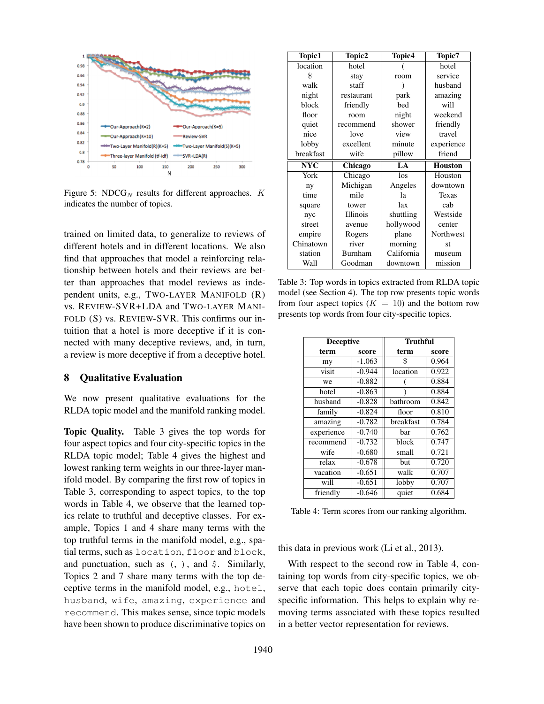

Figure 5: NDC $G_N$  results for different approaches.  $K$ indicates the number of topics.

trained on limited data, to generalize to reviews of different hotels and in different locations. We also find that approaches that model a reinforcing relationship between hotels and their reviews are better than approaches that model reviews as independent units, e.g., TWO-LAYER MANIFOLD (R) vs. REVIEW-SVR+LDA and TWO-LAYER MANI-FOLD (S) vs. REVIEW-SVR. This confirms our intuition that a hotel is more deceptive if it is connected with many deceptive reviews, and, in turn, a review is more deceptive if from a deceptive hotel.

### 8 Qualitative Evaluation

We now present qualitative evaluations for the RLDA topic model and the manifold ranking model.

Topic Quality. Table 3 gives the top words for four aspect topics and four city-specific topics in the RLDA topic model; Table 4 gives the highest and lowest ranking term weights in our three-layer manifold model. By comparing the first row of topics in Table 3, corresponding to aspect topics, to the top words in Table 4, we observe that the learned topics relate to truthful and deceptive classes. For example, Topics 1 and 4 share many terms with the top truthful terms in the manifold model, e.g., spatial terms, such as location, floor and block, and punctuation, such as  $($ ,  $)$ , and  $\frac{1}{2}$ . Similarly, Topics 2 and 7 share many terms with the top deceptive terms in the manifold model, e.g., hotel, husband, wife, amazing, experience and recommend. This makes sense, since topic models have been shown to produce discriminative topics on

| Topic1     | Topic2     | Topic4     | Topic7         |
|------------|------------|------------|----------------|
| location   | hotel      |            | hotel          |
| \$         | stay       | room       | service        |
| walk       | staff      |            | husband        |
| night      | restaurant | park       | amazing        |
| block      | friendly   | bed        | will           |
| floor      | room       | night      | weekend        |
| quiet      | recommend  | shower     | friendly       |
| nice       | love       | view       | travel         |
| lobby      | excellent  | minute     | experience     |
| breakfast  | wife       | pillow     | friend         |
|            |            |            |                |
| <b>NYC</b> | Chicago    | $L_A$      | <b>Houston</b> |
| York       | Chicago    | $\log$     | Houston        |
| ny         | Michigan   | Angeles    | downtown       |
| time       | mile       | lа         | Texas          |
| square     | tower      | lax        | cab            |
| nyc        | Illinois   | shuttling  | Westside       |
| street     | avenue     | hollywood  | center         |
| empire     | Rogers     | plane      | Northwest      |
| Chinatown  | river      | morning    | st             |
| station    | Burnham    | California | museum         |

Table 3: Top words in topics extracted from RLDA topic model (see Section 4). The top row presents topic words from four aspect topics  $(K = 10)$  and the bottom row presents top words from four city-specific topics.

| <b>Deceptive</b> |          | Truthful  |       |  |
|------------------|----------|-----------|-------|--|
| term             | score    | term      | score |  |
| my               | $-1.063$ | \$        | 0.964 |  |
| visit            | $-0.944$ | location  | 0.922 |  |
| we               | $-0.882$ |           | 0.884 |  |
| hotel            | $-0.863$ |           | 0.884 |  |
| husband          | $-0.828$ | bathroom  | 0.842 |  |
| family           | $-0.824$ | floor     | 0.810 |  |
| amazing          | $-0.782$ | breakfast | 0.784 |  |
| experience       | $-0.740$ | bar       | 0.762 |  |
| recommend        | $-0.732$ | block     | 0.747 |  |
| wife             | $-0.680$ | small     | 0.721 |  |
| relax            | $-0.678$ | but       | 0.720 |  |
| vacation         | $-0.651$ | walk      | 0.707 |  |
| will             | $-0.651$ | lobby     | 0.707 |  |
| friendly         | $-0.646$ | quiet     | 0.684 |  |

Table 4: Term scores from our ranking algorithm.

this data in previous work (Li et al., 2013).

With respect to the second row in Table 4, containing top words from city-specific topics, we observe that each topic does contain primarily cityspecific information. This helps to explain why removing terms associated with these topics resulted in a better vector representation for reviews.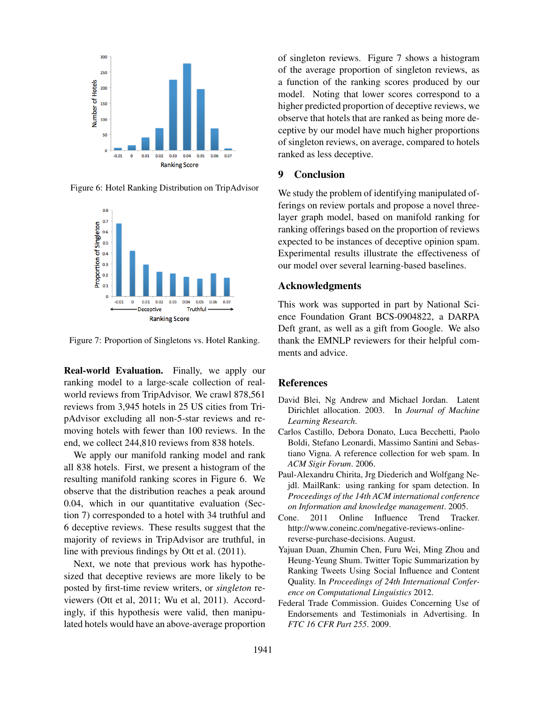

Figure 6: Hotel Ranking Distribution on TripAdvisor



Figure 7: Proportion of Singletons vs. Hotel Ranking.

Real-world Evaluation. Finally, we apply our ranking model to a large-scale collection of realworld reviews from TripAdvisor. We crawl 878,561 reviews from 3,945 hotels in 25 US cities from TripAdvisor excluding all non-5-star reviews and removing hotels with fewer than 100 reviews. In the end, we collect 244,810 reviews from 838 hotels.

We apply our manifold ranking model and rank all 838 hotels. First, we present a histogram of the resulting manifold ranking scores in Figure 6. We observe that the distribution reaches a peak around 0.04, which in our quantitative evaluation (Section 7) corresponded to a hotel with 34 truthful and 6 deceptive reviews. These results suggest that the majority of reviews in TripAdvisor are truthful, in line with previous findings by Ott et al. (2011).

Next, we note that previous work has hypothesized that deceptive reviews are more likely to be posted by first-time review writers, or *singleton* reviewers (Ott et al, 2011; Wu et al, 2011). Accordingly, if this hypothesis were valid, then manipulated hotels would have an above-average proportion of singleton reviews. Figure 7 shows a histogram of the average proportion of singleton reviews, as a function of the ranking scores produced by our model. Noting that lower scores correspond to a higher predicted proportion of deceptive reviews, we observe that hotels that are ranked as being more deceptive by our model have much higher proportions of singleton reviews, on average, compared to hotels ranked as less deceptive.

### 9 Conclusion

We study the problem of identifying manipulated offerings on review portals and propose a novel threelayer graph model, based on manifold ranking for ranking offerings based on the proportion of reviews expected to be instances of deceptive opinion spam. Experimental results illustrate the effectiveness of our model over several learning-based baselines.

#### Acknowledgments

This work was supported in part by National Science Foundation Grant BCS-0904822, a DARPA Deft grant, as well as a gift from Google. We also thank the EMNLP reviewers for their helpful comments and advice.

#### References

- David Blei, Ng Andrew and Michael Jordan. Latent Dirichlet allocation. 2003. In *Journal of Machine Learning Research*.
- Carlos Castillo, Debora Donato, Luca Becchetti, Paolo Boldi, Stefano Leonardi, Massimo Santini and Sebastiano Vigna. A reference collection for web spam. In *ACM Sigir Forum*. 2006.
- Paul-Alexandru Chirita, Jrg Diederich and Wolfgang Nejdl. MailRank: using ranking for spam detection. In *Proceedings of the 14th ACM international conference on Information and knowledge management*. 2005.
- Cone. 2011 Online Influence Trend Tracker. http://www.coneinc.com/negative-reviews-onlinereverse-purchase-decisions. August.
- Yajuan Duan, Zhumin Chen, Furu Wei, Ming Zhou and Heung-Yeung Shum. Twitter Topic Summarization by Ranking Tweets Using Social Influence and Content Quality. In *Proceedings of 24th International Conference on Computational Linguistics* 2012.
- Federal Trade Commission. Guides Concerning Use of Endorsements and Testimonials in Advertising. In *FTC 16 CFR Part 255*. 2009.